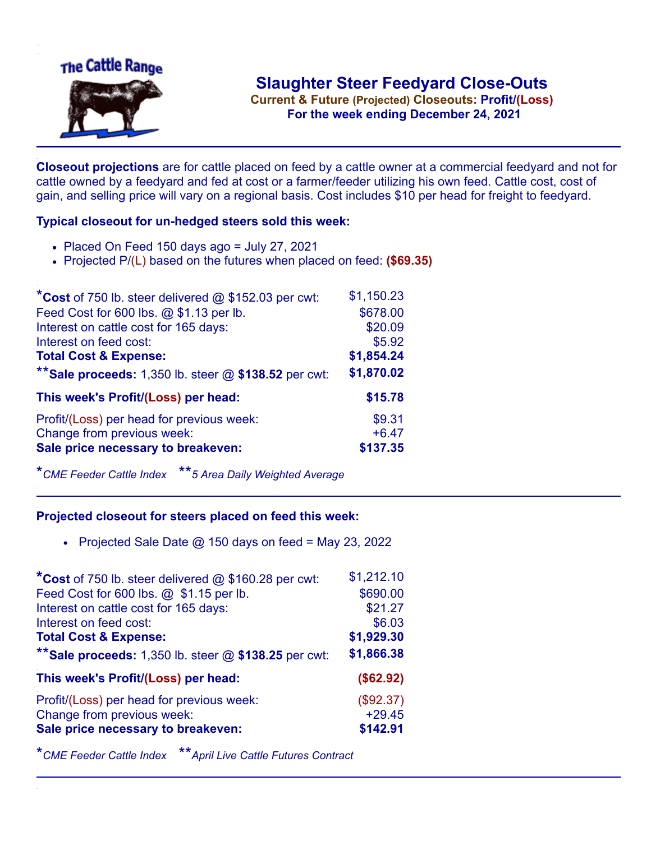

**Current & Future (Projected) Closeouts: Profit/(Loss)** .**For the week ending December 24, 2021**

**Closeout projections** are for cattle placed on feed by a cattle owner at a commercial feedyard and not for cattle owned by a feedyard and fed at cost or a farmer/feeder utilizing his own feed. Cattle cost, cost of gain, and selling price will vary on a regional basis. Cost includes \$10 per head for freight to feedyard.

## **Typical closeout for un-hedged steers sold this week:**

- $\bullet$  Placed On Feed 150 days ago = July 27, 2021
- Projected P/(L) based on the futures when placed on feed: **(\$69.35)**

| *Cost of 750 lb. steer delivered $@$ \$152.03 per cwt:  | \$1,150.23 |
|---------------------------------------------------------|------------|
| Feed Cost for 600 lbs. @ \$1.13 per lb.                 | \$678.00   |
| Interest on cattle cost for 165 days:                   | \$20.09    |
| Interest on feed cost:                                  | \$5.92     |
| <b>Total Cost &amp; Expense:</b>                        | \$1,854.24 |
| ** Sale proceeds: 1,350 lb. steer $@$ \$138.52 per cwt: | \$1,870.02 |
| This week's Profit/(Loss) per head:                     | \$15.78    |
| Profit/(Loss) per head for previous week:               | \$9.31     |
| Change from previous week:                              | $+6.47$    |
| Sale price necessary to breakeven:                      | \$137.35   |

\**CME Feeder Cattle Index* \*\**5 Area Daily Weighted Average*

## **Projected closeout for steers placed on feed this week:**

• Projected Sale Date  $@$  150 days on feed = May 23, 2022

| *Cost of 750 lb. steer delivered @ \$160.28 per cwt:    | \$1,212.10 |
|---------------------------------------------------------|------------|
| Feed Cost for 600 lbs. @ \$1.15 per lb.                 | \$690.00   |
| Interest on cattle cost for 165 days:                   | \$21.27    |
| Interest on feed cost:                                  | \$6.03     |
| <b>Total Cost &amp; Expense:</b>                        | \$1,929.30 |
| ** Sale proceeds: 1,350 lb. steer $@$ \$138.25 per cwt: | \$1,866.38 |
| This week's Profit/(Loss) per head:                     | (\$62.92)  |
| Profit/(Loss) per head for previous week:               | (\$92.37)  |
| Change from previous week:                              | $+29.45$   |
| Sale price necessary to breakeven:                      | \$142.91   |

\**CME Feeder Cattle Index* \*\**April Live Cattle Futures Contract*